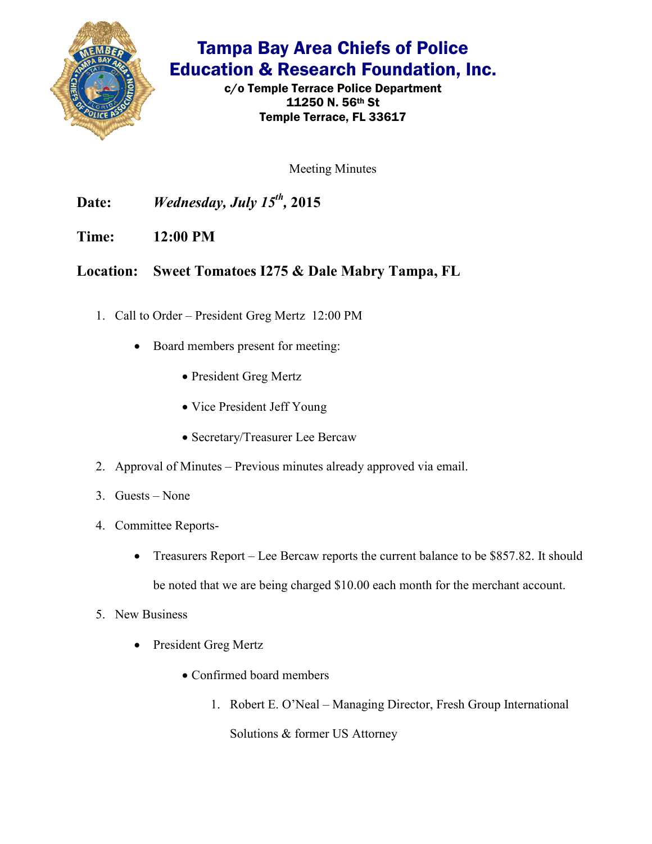

## Tampa Bay Area Chiefs of Police Education & Research Foundation, Inc.

c/o Temple Terrace Police Department 11250 N. 56th St Temple Terrace, FL 33617

Meeting Minutes

**Date:** *Wednesday, July 15th ,* **2015** 

**Time: 12:00 PM** 

## **Location: Sweet Tomatoes I275 & Dale Mabry Tampa, FL**

- 1. Call to Order President Greg Mertz 12:00 PM
	- Board members present for meeting:
		- President Greg Mertz
		- Vice President Jeff Young
		- Secretary/Treasurer Lee Bercaw
- 2. Approval of Minutes Previous minutes already approved via email.
- 3. Guests None
- 4. Committee Reports-
	- Treasurers Report Lee Bercaw reports the current balance to be \$857.82. It should be noted that we are being charged \$10.00 each month for the merchant account.
- 5. New Business
	- President Greg Mertz
		- Confirmed board members
			- 1. Robert E. O'Neal Managing Director, Fresh Group International

Solutions & former US Attorney